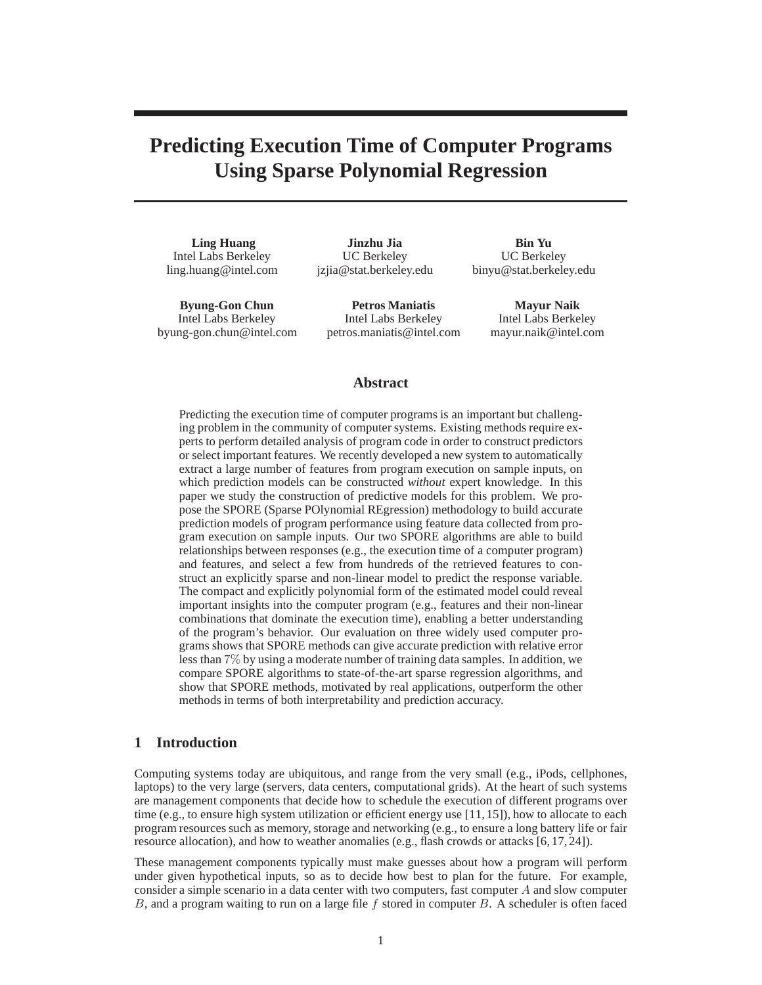# **Predicting Execution Time of Computer Programs Using Sparse Polynomial Regression**

**Ling Huang** Intel Labs Berkeley ling.huang@intel.com

**Jinzhu Jia** UC Berkeley jzjia@stat.berkeley.edu

**Byung-Gon Chun** Intel Labs Berkeley byung-gon.chun@intel.com **Petros Maniatis** Intel Labs Berkeley petros.maniatis@intel.com

**Bin Yu** UC Berkeley binyu@stat.berkeley.edu

> **Mayur Naik** Intel Labs Berkeley mayur.naik@intel.com

### **Abstract**

Predicting the execution time of computer programs is an important but challenging problem in the community of computer systems. Existing methods require experts to perform detailed analysis of program code in order to construct predictors or select important features. We recently developed a new system to automatically extract a large number of features from program execution on sample inputs, on which prediction models can be constructed *without* expert knowledge. In this paper we study the construction of predictive models for this problem. We propose the SPORE (Sparse POlynomial REgression) methodology to build accurate prediction models of program performance using feature data collected from program execution on sample inputs. Our two SPORE algorithms are able to build relationships between responses (e.g., the execution time of a computer program) and features, and select a few from hundreds of the retrieved features to construct an explicitly sparse and non-linear model to predict the response variable. The compact and explicitly polynomial form of the estimated model could reveal important insights into the computer program (e.g., features and their non-linear combinations that dominate the execution time), enabling a better understanding of the program's behavior. Our evaluation on three widely used computer programs shows that SPORE methods can give accurate prediction with relative error less than 7% by using a moderate number of training data samples. In addition, we compare SPORE algorithms to state-of-the-art sparse regression algorithms, and show that SPORE methods, motivated by real applications, outperform the other methods in terms of both interpretability and prediction accuracy.

## **1 Introduction**

Computing systems today are ubiquitous, and range from the very small (e.g., iPods, cellphones, laptops) to the very large (servers, data centers, computational grids). At the heart of such systems are management components that decide how to schedule the execution of different programs over time (e.g., to ensure high system utilization or efficient energy use [11, 15]), how to allocate to each program resources such as memory, storage and networking (e.g., to ensure a long battery life or fair resource allocation), and how to weather anomalies (e.g., flash crowds or attacks [6, 17, 24]).

These management components typically must make guesses about how a program will perform under given hypothetical inputs, so as to decide how best to plan for the future. For example, consider a simple scenario in a data center with two computers, fast computer A and slow computer  $B$ , and a program waiting to run on a large file  $f$  stored in computer  $B$ . A scheduler is often faced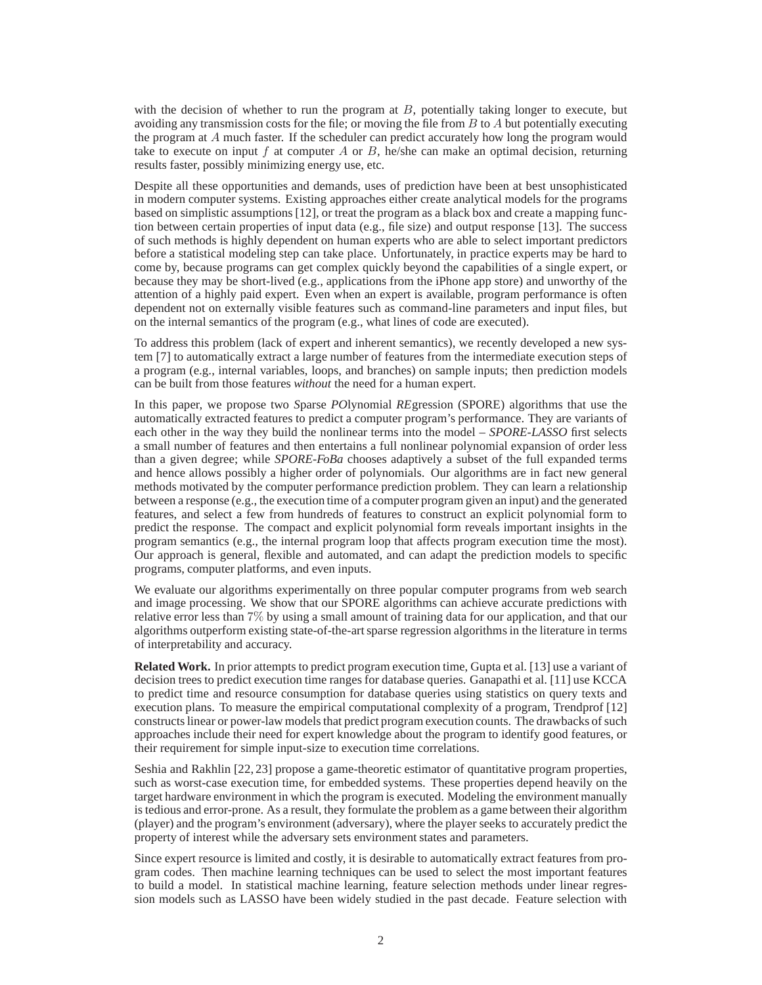with the decision of whether to run the program at  $B$ , potentially taking longer to execute, but avoiding any transmission costs for the file; or moving the file from  $B$  to  $A$  but potentially executing the program at A much faster. If the scheduler can predict accurately how long the program would take to execute on input f at computer A or B, he/she can make an optimal decision, returning results faster, possibly minimizing energy use, etc.

Despite all these opportunities and demands, uses of prediction have been at best unsophisticated in modern computer systems. Existing approaches either create analytical models for the programs based on simplistic assumptions [12], or treat the program as a black box and create a mapping function between certain properties of input data (e.g., file size) and output response [13]. The success of such methods is highly dependent on human experts who are able to select important predictors before a statistical modeling step can take place. Unfortunately, in practice experts may be hard to come by, because programs can get complex quickly beyond the capabilities of a single expert, or because they may be short-lived (e.g., applications from the iPhone app store) and unworthy of the attention of a highly paid expert. Even when an expert is available, program performance is often dependent not on externally visible features such as command-line parameters and input files, but on the internal semantics of the program (e.g., what lines of code are executed).

To address this problem (lack of expert and inherent semantics), we recently developed a new system [7] to automatically extract a large number of features from the intermediate execution steps of a program (e.g., internal variables, loops, and branches) on sample inputs; then prediction models can be built from those features *without* the need for a human expert.

In this paper, we propose two *S*parse *PO*lynomial *RE*gression (SPORE) algorithms that use the automatically extracted features to predict a computer program's performance. They are variants of each other in the way they build the nonlinear terms into the model – *SPORE-LASSO* first selects a small number of features and then entertains a full nonlinear polynomial expansion of order less than a given degree; while *SPORE-FoBa* chooses adaptively a subset of the full expanded terms and hence allows possibly a higher order of polynomials. Our algorithms are in fact new general methods motivated by the computer performance prediction problem. They can learn a relationship between a response (e.g., the execution time of a computer program given an input) and the generated features, and select a few from hundreds of features to construct an explicit polynomial form to predict the response. The compact and explicit polynomial form reveals important insights in the program semantics (e.g., the internal program loop that affects program execution time the most). Our approach is general, flexible and automated, and can adapt the prediction models to specific programs, computer platforms, and even inputs.

We evaluate our algorithms experimentally on three popular computer programs from web search and image processing. We show that our SPORE algorithms can achieve accurate predictions with relative error less than 7% by using a small amount of training data for our application, and that our algorithms outperform existing state-of-the-art sparse regression algorithms in the literature in terms of interpretability and accuracy.

**Related Work.** In prior attempts to predict program execution time, Gupta et al. [13] use a variant of decision trees to predict execution time ranges for database queries. Ganapathi et al. [11] use KCCA to predict time and resource consumption for database queries using statistics on query texts and execution plans. To measure the empirical computational complexity of a program, Trendprof [12] constructs linear or power-law models that predict program execution counts. The drawbacks of such approaches include their need for expert knowledge about the program to identify good features, or their requirement for simple input-size to execution time correlations.

Seshia and Rakhlin [22, 23] propose a game-theoretic estimator of quantitative program properties, such as worst-case execution time, for embedded systems. These properties depend heavily on the target hardware environment in which the program is executed. Modeling the environment manually is tedious and error-prone. As a result, they formulate the problem as a game between their algorithm (player) and the program's environment (adversary), where the player seeks to accurately predict the property of interest while the adversary sets environment states and parameters.

Since expert resource is limited and costly, it is desirable to automatically extract features from program codes. Then machine learning techniques can be used to select the most important features to build a model. In statistical machine learning, feature selection methods under linear regression models such as LASSO have been widely studied in the past decade. Feature selection with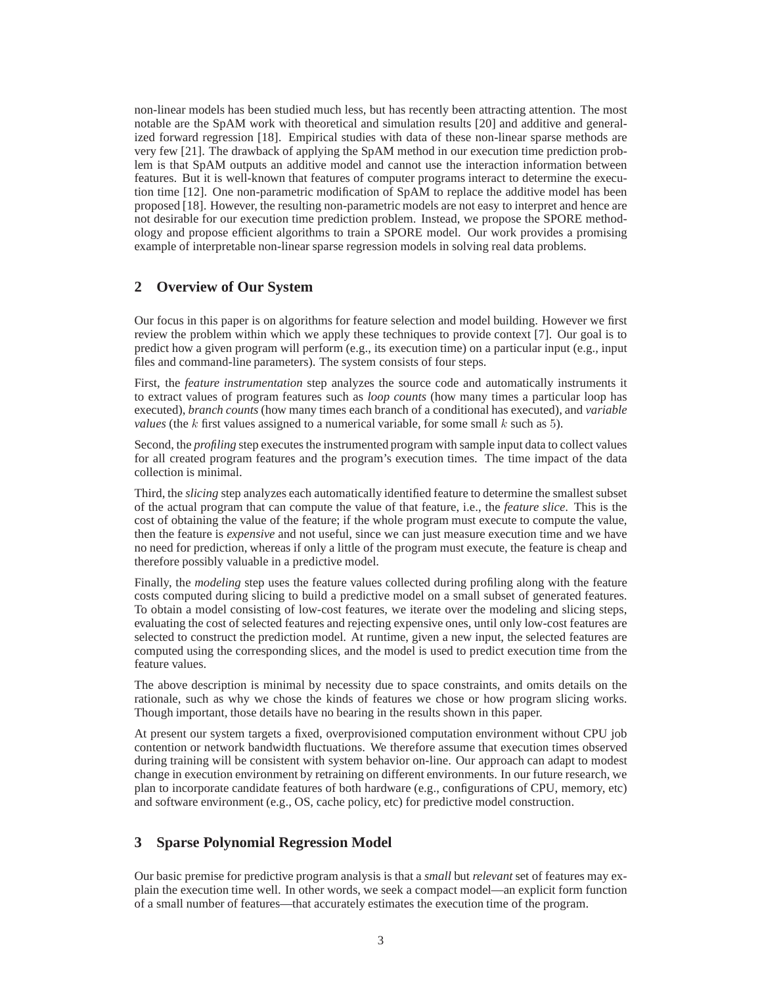non-linear models has been studied much less, but has recently been attracting attention. The most notable are the SpAM work with theoretical and simulation results [20] and additive and generalized forward regression [18]. Empirical studies with data of these non-linear sparse methods are very few [21]. The drawback of applying the SpAM method in our execution time prediction problem is that SpAM outputs an additive model and cannot use the interaction information between features. But it is well-known that features of computer programs interact to determine the execution time [12]. One non-parametric modification of SpAM to replace the additive model has been proposed [18]. However, the resulting non-parametric models are not easy to interpret and hence are not desirable for our execution time prediction problem. Instead, we propose the SPORE methodology and propose efficient algorithms to train a SPORE model. Our work provides a promising example of interpretable non-linear sparse regression models in solving real data problems.

# **2 Overview of Our System**

Our focus in this paper is on algorithms for feature selection and model building. However we first review the problem within which we apply these techniques to provide context [7]. Our goal is to predict how a given program will perform (e.g., its execution time) on a particular input (e.g., input files and command-line parameters). The system consists of four steps.

First, the *feature instrumentation* step analyzes the source code and automatically instruments it to extract values of program features such as *loop counts* (how many times a particular loop has executed), *branch counts* (how many times each branch of a conditional has executed), and *variable values* (the k first values assigned to a numerical variable, for some small  $k$  such as 5).

Second, the *profiling* step executes the instrumented program with sample input data to collect values for all created program features and the program's execution times. The time impact of the data collection is minimal.

Third, the *slicing* step analyzes each automatically identified feature to determine the smallest subset of the actual program that can compute the value of that feature, i.e., the *feature slice*. This is the cost of obtaining the value of the feature; if the whole program must execute to compute the value, then the feature is *expensive* and not useful, since we can just measure execution time and we have no need for prediction, whereas if only a little of the program must execute, the feature is cheap and therefore possibly valuable in a predictive model.

Finally, the *modeling* step uses the feature values collected during profiling along with the feature costs computed during slicing to build a predictive model on a small subset of generated features. To obtain a model consisting of low-cost features, we iterate over the modeling and slicing steps, evaluating the cost of selected features and rejecting expensive ones, until only low-cost features are selected to construct the prediction model. At runtime, given a new input, the selected features are computed using the corresponding slices, and the model is used to predict execution time from the feature values.

The above description is minimal by necessity due to space constraints, and omits details on the rationale, such as why we chose the kinds of features we chose or how program slicing works. Though important, those details have no bearing in the results shown in this paper.

At present our system targets a fixed, overprovisioned computation environment without CPU job contention or network bandwidth fluctuations. We therefore assume that execution times observed during training will be consistent with system behavior on-line. Our approach can adapt to modest change in execution environment by retraining on different environments. In our future research, we plan to incorporate candidate features of both hardware (e.g., configurations of CPU, memory, etc) and software environment (e.g., OS, cache policy, etc) for predictive model construction.

# **3 Sparse Polynomial Regression Model**

Our basic premise for predictive program analysis is that a *small* but *relevant* set of features may explain the execution time well. In other words, we seek a compact model—an explicit form function of a small number of features—that accurately estimates the execution time of the program.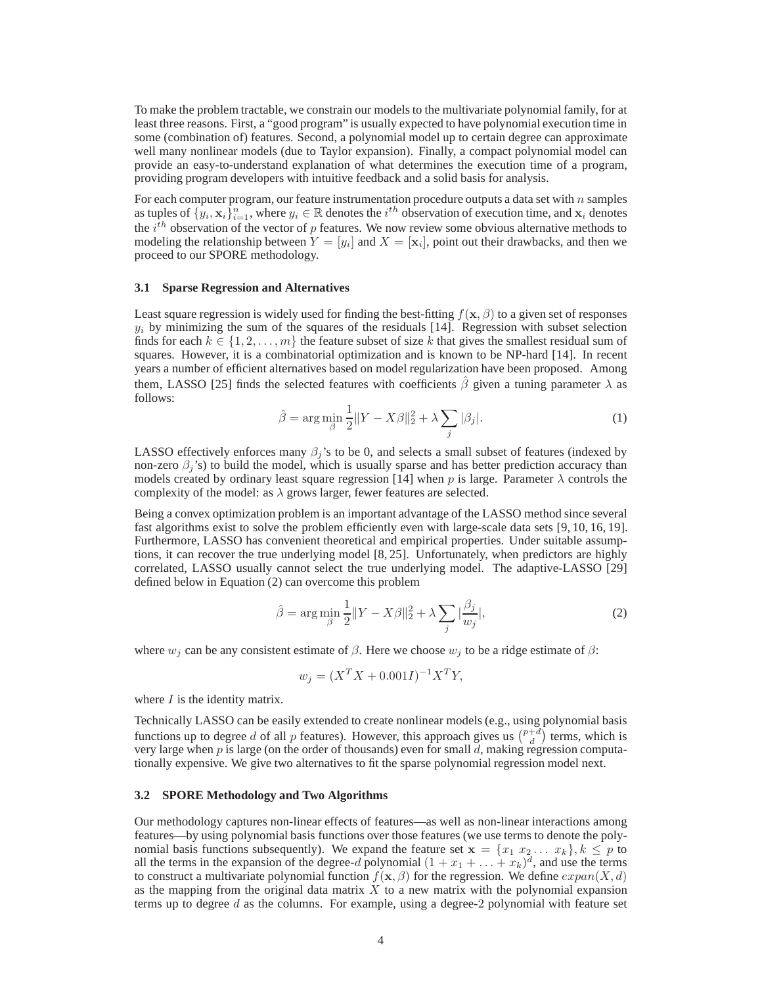To make the problem tractable, we constrain our models to the multivariate polynomial family, for at least three reasons. First, a "good program" is usually expected to have polynomial execution time in some (combination of) features. Second, a polynomial model up to certain degree can approximate well many nonlinear models (due to Taylor expansion). Finally, a compact polynomial model can provide an easy-to-understand explanation of what determines the execution time of a program, providing program developers with intuitive feedback and a solid basis for analysis.

For each computer program, our feature instrumentation procedure outputs a data set with  $n$  samples as tuples of  $\{y_i, \mathbf{x}_i\}_{i=1}^n$ , where  $y_i \in \mathbb{R}$  denotes the  $i^{th}$  observation of execution time, and  $\mathbf{x}_i$  denotes the  $i^{th}$  observation of the vector of p features. We now review some obvious alternative methods to modeling the relationship between  $Y = [y_i]$  and  $X = [\mathbf{x}_i]$ , point out their drawbacks, and then we proceed to our SPORE methodology.

#### **3.1 Sparse Regression and Alternatives**

Least square regression is widely used for finding the best-fitting  $f(\mathbf{x}, \beta)$  to a given set of responses  $y_i$  by minimizing the sum of the squares of the residuals [14]. Regression with subset selection finds for each  $k \in \{1, 2, \ldots, m\}$  the feature subset of size k that gives the smallest residual sum of squares. However, it is a combinatorial optimization and is known to be NP-hard [14]. In recent years a number of efficient alternatives based on model regularization have been proposed. Among them, LASSO [25] finds the selected features with coefficients  $\hat{\beta}$  given a tuning parameter  $\lambda$  as follows:

$$
\hat{\beta} = \arg \min_{\beta} \frac{1}{2} \|Y - X\beta\|_2^2 + \lambda \sum_{j} |\beta_j|.
$$
 (1)

LASSO effectively enforces many  $\beta_i$ 's to be 0, and selects a small subset of features (indexed by non-zero  $\beta_i$ 's) to build the model, which is usually sparse and has better prediction accuracy than models created by ordinary least square regression [14] when p is large. Parameter  $\lambda$  controls the complexity of the model: as  $\lambda$  grows larger, fewer features are selected.

Being a convex optimization problem is an important advantage of the LASSO method since several fast algorithms exist to solve the problem efficiently even with large-scale data sets [9, 10, 16, 19]. Furthermore, LASSO has convenient theoretical and empirical properties. Under suitable assumptions, it can recover the true underlying model [8, 25]. Unfortunately, when predictors are highly correlated, LASSO usually cannot select the true underlying model. The adaptive-LASSO [29] defined below in Equation (2) can overcome this problem

$$
\hat{\beta} = \arg\min_{\beta} \frac{1}{2} \|Y - X\beta\|_2^2 + \lambda \sum_j |\frac{\beta_j}{w_j}|,\tag{2}
$$

where  $w_i$  can be any consistent estimate of  $\beta$ . Here we choose  $w_i$  to be a ridge estimate of  $\beta$ :

$$
w_j = (X^T X + 0.001 I)^{-1} X^T Y,
$$

where  $I$  is the identity matrix.

Technically LASSO can be easily extended to create nonlinear models (e.g., using polynomial basis functions up to degree d of all p features). However, this approach gives us  $\binom{p+d}{d}$  terms, which is very large when  $p$  is large (on the order of thousands) even for small  $d$ , making regression computationally expensive. We give two alternatives to fit the sparse polynomial regression model next.

#### **3.2 SPORE Methodology and Two Algorithms**

Our methodology captures non-linear effects of features—as well as non-linear interactions among features—by using polynomial basis functions over those features (we use terms to denote the polynomial basis functions subsequently). We expand the feature set  $\mathbf{x} = \{x_1, x_2, \dots, x_k\}, k \leq p$  to all the terms in the expansion of the degree-d polynomial  $(1 + x_1 + \ldots + x_k)^d$ , and use the terms to construct a multivariate polynomial function  $f(\mathbf{x}, \beta)$  for the regression. We define  $expan(X, d)$ as the mapping from the original data matrix  $X$  to a new matrix with the polynomial expansion terms up to degree  $d$  as the columns. For example, using a degree-2 polynomial with feature set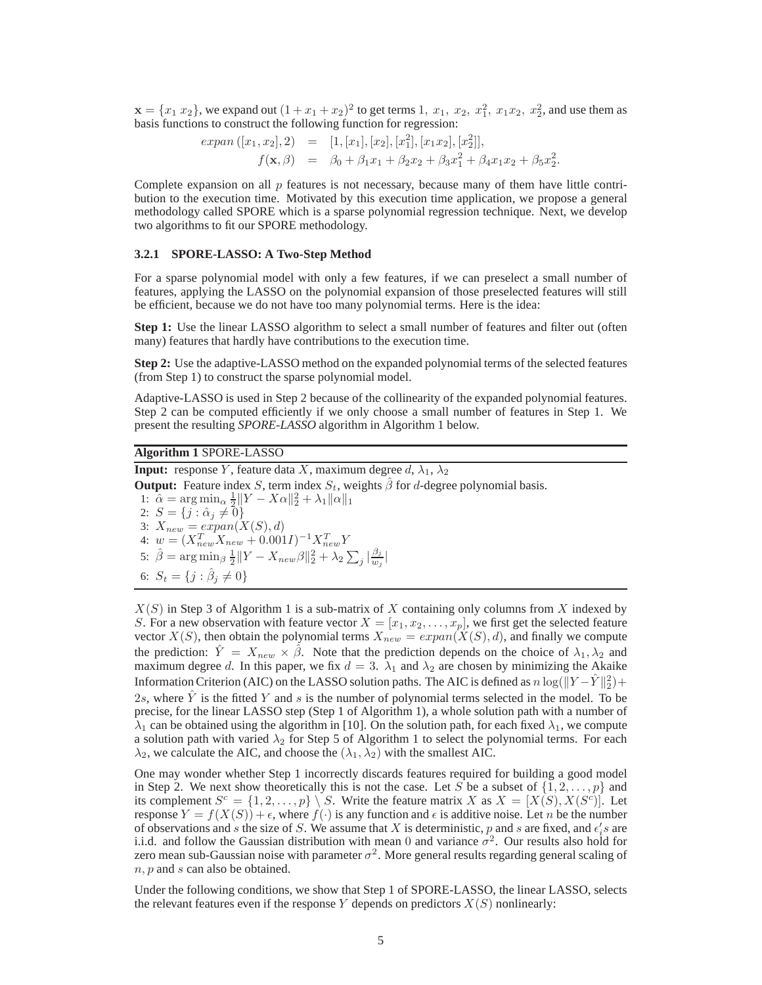$\mathbf{x} = \{x_1 \ x_2\}$ , we expand out  $(1 + x_1 + x_2)^2$  to get terms 1,  $x_1, x_2, x_1^2, x_1x_2, x_2^2$ , and use them as basis functions to construct the following function for regression:

$$
expan([x_1, x_2], 2) = [1, [x_1], [x_2], [x_1^2], [x_1x_2], [x_2^2]],
$$
  

$$
f(\mathbf{x}, \beta) = \beta_0 + \beta_1 x_1 + \beta_2 x_2 + \beta_3 x_1^2 + \beta_4 x_1 x_2 + \beta_5 x_2^2.
$$

Complete expansion on all  $p$  features is not necessary, because many of them have little contribution to the execution time. Motivated by this execution time application, we propose a general methodology called SPORE which is a sparse polynomial regression technique. Next, we develop two algorithms to fit our SPORE methodology.

#### **3.2.1 SPORE-LASSO: A Two-Step Method**

For a sparse polynomial model with only a few features, if we can preselect a small number of features, applying the LASSO on the polynomial expansion of those preselected features will still be efficient, because we do not have too many polynomial terms. Here is the idea:

**Step 1:** Use the linear LASSO algorithm to select a small number of features and filter out (often many) features that hardly have contributions to the execution time.

**Step 2:** Use the adaptive-LASSO method on the expanded polynomial terms of the selected features (from Step 1) to construct the sparse polynomial model.

Adaptive-LASSO is used in Step 2 because of the collinearity of the expanded polynomial features. Step 2 can be computed efficiently if we only choose a small number of features in Step 1. We present the resulting *SPORE-LASSO* algorithm in Algorithm 1 below.

### **Algorithm 1** SPORE-LASSO

**Input:** response Y, feature data X, maximum degree  $d$ ,  $\lambda_1$ ,  $\lambda_2$ 

**Output:** Feature index S, term index  $S_t$ , weights  $\hat{\beta}$  for d-degree polynomial basis.

1:  $\hat{\alpha} = \arg \min_{\alpha} \frac{1}{2} ||Y - X\alpha||_2^2 + \lambda_1 ||\alpha||_1$ 2:  $S = \{j : \hat{\alpha}_j \neq 0\}$ 3:  $X_{new} = expan(X(S), d)$ 4:  $w = (X_{new}^T X_{new} + 0.001I)^{-1} X_{new}^T Y$ 5:  $\hat{\beta} = \arg \min_{\beta} \frac{1}{2} ||Y - X_{new} \beta||_2^2 + \lambda_2 \sum_j \left| \frac{\beta_j}{w_j} \right|$  $\frac{\rho_j}{w_j}$ | 6:  $S_t = \{j : \hat{\beta}_j \neq 0\}$ 

 $X(S)$  in Step 3 of Algorithm 1 is a sub-matrix of X containing only columns from X indexed by S. For a new observation with feature vector  $X = [x_1, x_2, \dots, x_p]$ , we first get the selected feature vector  $X(S)$ , then obtain the polynomial terms  $X_{new} = expan(X(S), d)$ , and finally we compute the prediction:  $\hat{Y} = X_{new} \times \hat{\beta}$ . Note that the prediction depends on the choice of  $\lambda_1, \lambda_2$  and maximum degree d. In this paper, we fix  $d = 3$ .  $\lambda_1$  and  $\lambda_2$  are chosen by minimizing the Akaike Information Criterion (AIC) on the LASSO solution paths. The AIC is defined as  $n \log(\|Y - \hat{Y}\|_2^2)$  + 2s, where Y is the fitted Y and s is the number of polynomial terms selected in the model. To be precise, for the linear LASSO step (Step 1 of Algorithm 1), a whole solution path with a number of  $\lambda_1$  can be obtained using the algorithm in [10]. On the solution path, for each fixed  $\lambda_1$ , we compute a solution path with varied  $\lambda_2$  for Step 5 of Algorithm 1 to select the polynomial terms. For each  $\lambda_2$ , we calculate the AIC, and choose the  $(\lambda_1, \lambda_2)$  with the smallest AIC.

One may wonder whether Step 1 incorrectly discards features required for building a good model in Step 2. We next show theoretically this is not the case. Let S be a subset of  $\{1, 2, ..., p\}$  and its complement  $S^c = \{1, 2, ..., p\} \setminus S$ . Write the feature matrix X as  $X = [X(S), X(S^c)]$ . Let response  $Y = f(X(S)) + \epsilon$ , where  $f(\cdot)$  is any function and  $\epsilon$  is additive noise. Let *n* be the number of observations and s the size of S. We assume that X is deterministic, p and s are fixed, and  $\epsilon_i$ 's are i.i.d. and follow the Gaussian distribution with mean 0 and variance  $\sigma^2$ . Our results also hold for zero mean sub-Gaussian noise with parameter  $\sigma^2$ . More general results regarding general scaling of  $n, p$  and  $s$  can also be obtained.

Under the following conditions, we show that Step 1 of SPORE-LASSO, the linear LASSO, selects the relevant features even if the response Y depends on predictors  $X(S)$  nonlinearly: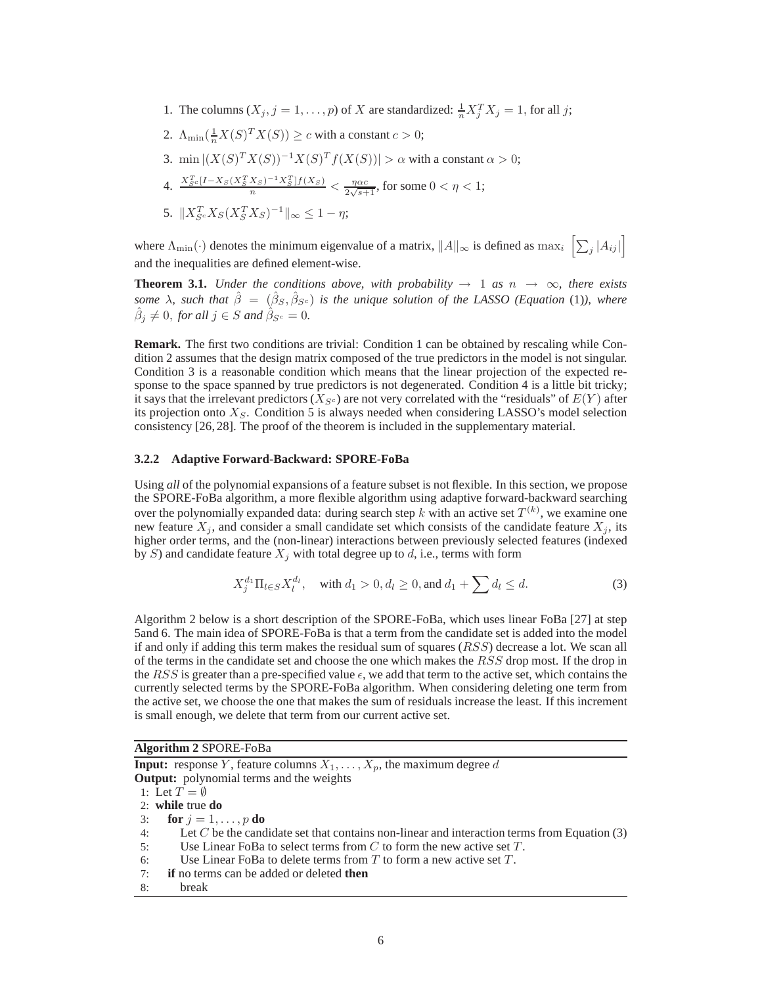1. The columns  $(X_j, j = 1, ..., p)$  of X are standardized:  $\frac{1}{n} X_j^T X_j = 1$ , for all j;

2. 
$$
\Lambda_{\min}(\frac{1}{n}X(S)^T X(S)) \ge c
$$
 with a constant  $c > 0$ ;  
\n3.  $\min |(X(S)^T X(S))^{-1} X(S)^T f(X(S))| > \alpha$  with a constant  $\alpha > 0$ ;  
\n4.  $\frac{X_{Sc}^T[I - X_S(X_S^T X_S)^{-1} X_S^T] f(X_S)}{n} < \frac{\eta \alpha c}{2\sqrt{s+1}}$ , for some  $0 < \eta < 1$ ;  
\n5.  $||X_{Sc}^T X_S (X_S^T X_S)^{-1}||_{\infty} \le 1 - \eta$ ;

where  $\Lambda_{\min}(\cdot)$  denotes the minimum eigenvalue of a matrix,  $||A||_{\infty}$  is defined as  $\max_i \left[ \sum_j |A_{ij}| \right]$ and the inequalities are defined element-wise.

**Theorem 3.1.** *Under the conditions above, with probability*  $\rightarrow$  1 *as*  $n \rightarrow \infty$ *, there exists* some  $\lambda$ , such that  $\hat{\beta} = (\hat{\beta}_S, \hat{\beta}_{S^c})$  is the unique solution of the LASSO (Equation (1)), where  $\hat{\beta}_j \neq 0$ , for all  $j \in S$  and  $\hat{\beta}_{S^c} = 0$ .

**Remark.** The first two conditions are trivial: Condition 1 can be obtained by rescaling while Condition 2 assumes that the design matrix composed of the true predictors in the model is not singular. Condition 3 is a reasonable condition which means that the linear projection of the expected response to the space spanned by true predictors is not degenerated. Condition 4 is a little bit tricky; it says that the irrelevant predictors  $(X_{S^c})$  are not very correlated with the "residuals" of  $E(Y)$  after its projection onto  $X<sub>S</sub>$ . Condition 5 is always needed when considering LASSO's model selection consistency [26, 28]. The proof of the theorem is included in the supplementary material.

#### **3.2.2 Adaptive Forward-Backward: SPORE-FoBa**

Using *all* of the polynomial expansions of a feature subset is not flexible. In this section, we propose the SPORE-FoBa algorithm, a more flexible algorithm using adaptive forward-backward searching over the polynomially expanded data: during search step k with an active set  $T^{(k)}$ , we examine one new feature  $X_j$ , and consider a small candidate set which consists of the candidate feature  $X_j$ , its higher order terms, and the (non-linear) interactions between previously selected features (indexed by S) and candidate feature  $X_i$  with total degree up to d, i.e., terms with form

$$
X_j^{d_1} \Pi_{l \in S} X_l^{d_l}, \quad \text{with } d_1 > 0, d_l \ge 0, \text{ and } d_1 + \sum d_l \le d. \tag{3}
$$

Algorithm 2 below is a short description of the SPORE-FoBa, which uses linear FoBa [27] at step 5and 6. The main idea of SPORE-FoBa is that a term from the candidate set is added into the model if and only if adding this term makes the residual sum of squares  $(RSS)$  decrease a lot. We scan all of the terms in the candidate set and choose the one which makes the RSS drop most. If the drop in the RSS is greater than a pre-specified value  $\epsilon$ , we add that term to the active set, which contains the currently selected terms by the SPORE-FoBa algorithm. When considering deleting one term from the active set, we choose the one that makes the sum of residuals increase the least. If this increment is small enough, we delete that term from our current active set.

**Algorithm 2** SPORE-FoBa

**Input:** response Y, feature columns  $X_1, \ldots, X_p$ , the maximum degree d **Output:** polynomial terms and the weights 1: Let  $T = \emptyset$ 2: **while** true **do** 3: **for**  $j = 1, \ldots, p$  **do** 4: Let C be the candidate set that contains non-linear and interaction terms from Equation (3) 5: Use Linear FoBa to select terms from  $C$  to form the new active set  $T$ . 6: Use Linear FoBa to delete terms from  $T$  to form a new active set  $T$ . 7: **if** no terms can be added or deleted **then** 8: break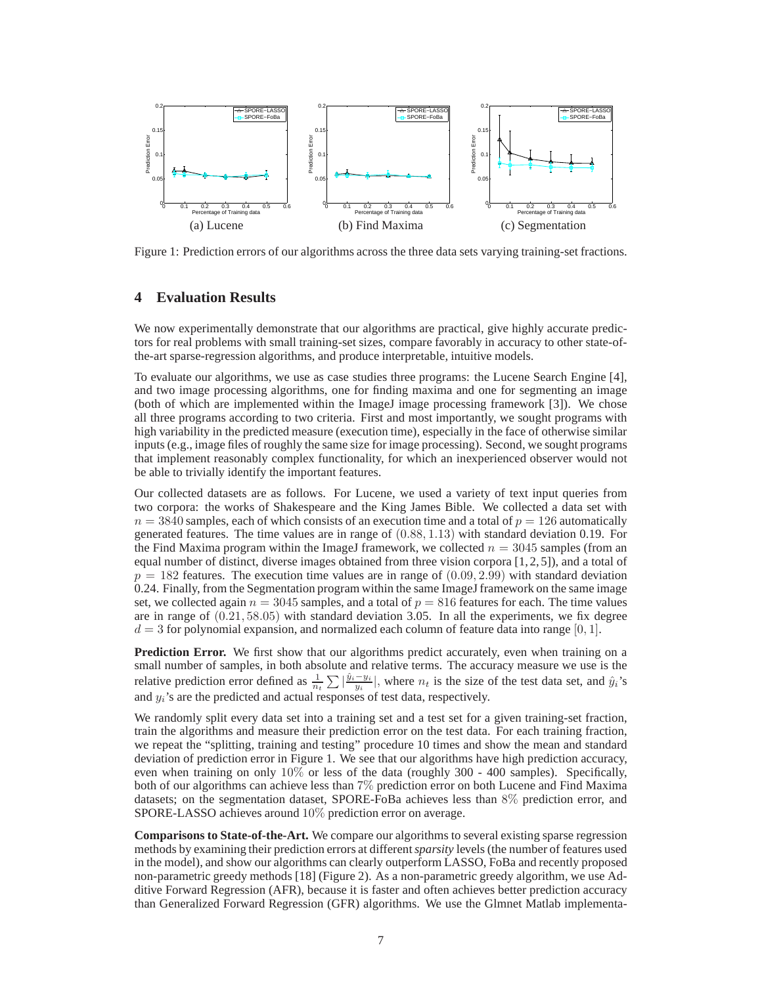

Figure 1: Prediction errors of our algorithms across the three data sets varying training-set fractions.

## **4 Evaluation Results**

We now experimentally demonstrate that our algorithms are practical, give highly accurate predictors for real problems with small training-set sizes, compare favorably in accuracy to other state-ofthe-art sparse-regression algorithms, and produce interpretable, intuitive models.

To evaluate our algorithms, we use as case studies three programs: the Lucene Search Engine [4], and two image processing algorithms, one for finding maxima and one for segmenting an image (both of which are implemented within the ImageJ image processing framework [3]). We chose all three programs according to two criteria. First and most importantly, we sought programs with high variability in the predicted measure (execution time), especially in the face of otherwise similar inputs (e.g., image files of roughly the same size for image processing). Second, we sought programs that implement reasonably complex functionality, for which an inexperienced observer would not be able to trivially identify the important features.

Our collected datasets are as follows. For Lucene, we used a variety of text input queries from two corpora: the works of Shakespeare and the King James Bible. We collected a data set with  $n = 3840$  samples, each of which consists of an execution time and a total of  $p = 126$  automatically generated features. The time values are in range of (0.88, 1.13) with standard deviation 0.19. For the Find Maxima program within the ImageJ framework, we collected  $n = 3045$  samples (from an equal number of distinct, diverse images obtained from three vision corpora  $[1, 2, 5]$ ), and a total of  $p = 182$  features. The execution time values are in range of  $(0.09, 2.99)$  with standard deviation 0.24. Finally, from the Segmentation program within the same ImageJ framework on the same image set, we collected again  $n = 3045$  samples, and a total of  $p = 816$  features for each. The time values are in range of (0.21, 58.05) with standard deviation 3.05. In all the experiments, we fix degree  $d = 3$  for polynomial expansion, and normalized each column of feature data into range [0, 1].

**Prediction Error.** We first show that our algorithms predict accurately, even when training on a small number of samples, in both absolute and relative terms. The accuracy measure we use is the relative prediction error defined as  $\frac{1}{n_t} \sum |\frac{\hat{y}_i - y_i}{y_i}|$ , where  $n_t$  is the size of the test data set, and  $\hat{y}_i$ 's and  $y_i$ 's are the predicted and actual responses of test data, respectively.

We randomly split every data set into a training set and a test set for a given training-set fraction, train the algorithms and measure their prediction error on the test data. For each training fraction, we repeat the "splitting, training and testing" procedure 10 times and show the mean and standard deviation of prediction error in Figure 1. We see that our algorithms have high prediction accuracy, even when training on only 10% or less of the data (roughly 300 - 400 samples). Specifically, both of our algorithms can achieve less than 7% prediction error on both Lucene and Find Maxima datasets; on the segmentation dataset, SPORE-FoBa achieves less than 8% prediction error, and SPORE-LASSO achieves around 10% prediction error on average.

**Comparisons to State-of-the-Art.** We compare our algorithms to several existing sparse regression methods by examining their prediction errors at different*sparsity* levels (the number of features used in the model), and show our algorithms can clearly outperform LASSO, FoBa and recently proposed non-parametric greedy methods [18] (Figure 2). As a non-parametric greedy algorithm, we use Additive Forward Regression (AFR), because it is faster and often achieves better prediction accuracy than Generalized Forward Regression (GFR) algorithms. We use the Glmnet Matlab implementa-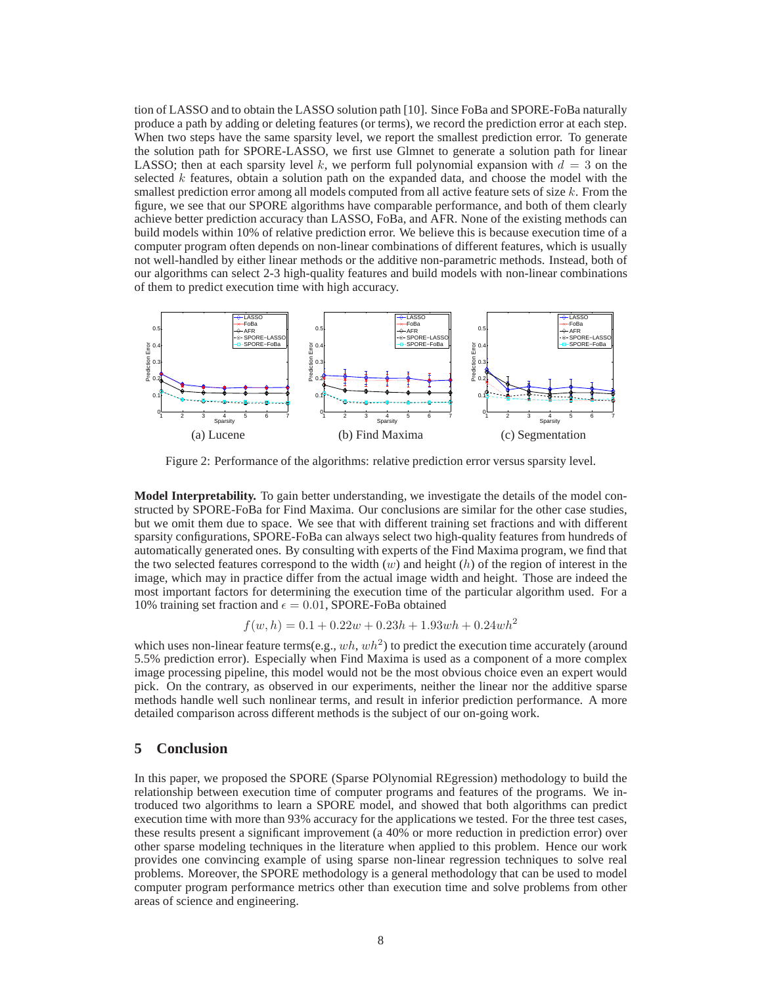tion of LASSO and to obtain the LASSO solution path [10]. Since FoBa and SPORE-FoBa naturally produce a path by adding or deleting features (or terms), we record the prediction error at each step. When two steps have the same sparsity level, we report the smallest prediction error. To generate the solution path for SPORE-LASSO, we first use Glmnet to generate a solution path for linear LASSO; then at each sparsity level k, we perform full polynomial expansion with  $d = 3$  on the selected  $k$  features, obtain a solution path on the expanded data, and choose the model with the smallest prediction error among all models computed from all active feature sets of size  $k$ . From the figure, we see that our SPORE algorithms have comparable performance, and both of them clearly achieve better prediction accuracy than LASSO, FoBa, and AFR. None of the existing methods can build models within 10% of relative prediction error. We believe this is because execution time of a computer program often depends on non-linear combinations of different features, which is usually not well-handled by either linear methods or the additive non-parametric methods. Instead, both of our algorithms can select 2-3 high-quality features and build models with non-linear combinations of them to predict execution time with high accuracy.



Figure 2: Performance of the algorithms: relative prediction error versus sparsity level.

**Model Interpretability.** To gain better understanding, we investigate the details of the model constructed by SPORE-FoBa for Find Maxima. Our conclusions are similar for the other case studies, but we omit them due to space. We see that with different training set fractions and with different sparsity configurations, SPORE-FoBa can always select two high-quality features from hundreds of automatically generated ones. By consulting with experts of the Find Maxima program, we find that the two selected features correspond to the width  $(w)$  and height  $(h)$  of the region of interest in the image, which may in practice differ from the actual image width and height. Those are indeed the most important factors for determining the execution time of the particular algorithm used. For a 10% training set fraction and  $\epsilon = 0.01$ , SPORE-FoBa obtained

$$
f(w, h) = 0.1 + 0.22w + 0.23h + 1.93wh + 0.24wh2
$$

which uses non-linear feature terms(e.g.,  $wh, wh^2$ ) to predict the execution time accurately (around 5.5% prediction error). Especially when Find Maxima is used as a component of a more complex image processing pipeline, this model would not be the most obvious choice even an expert would pick. On the contrary, as observed in our experiments, neither the linear nor the additive sparse methods handle well such nonlinear terms, and result in inferior prediction performance. A more detailed comparison across different methods is the subject of our on-going work.

### **5 Conclusion**

In this paper, we proposed the SPORE (Sparse POlynomial REgression) methodology to build the relationship between execution time of computer programs and features of the programs. We introduced two algorithms to learn a SPORE model, and showed that both algorithms can predict execution time with more than 93% accuracy for the applications we tested. For the three test cases, these results present a significant improvement (a 40% or more reduction in prediction error) over other sparse modeling techniques in the literature when applied to this problem. Hence our work provides one convincing example of using sparse non-linear regression techniques to solve real problems. Moreover, the SPORE methodology is a general methodology that can be used to model computer program performance metrics other than execution time and solve problems from other areas of science and engineering.